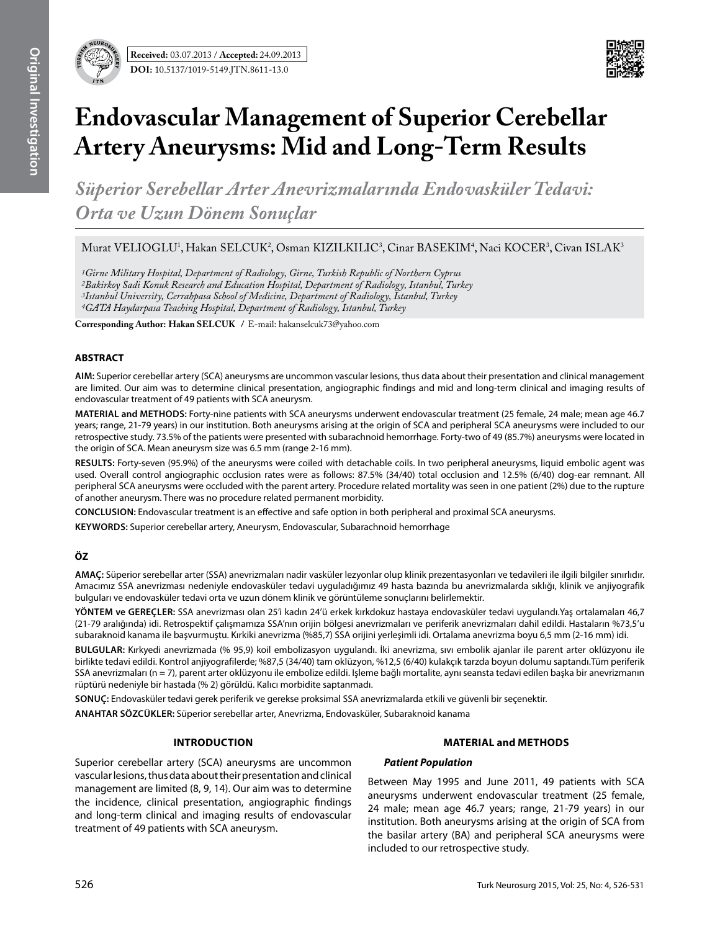

# **Endovascular Management of Superior Cerebellar Artery Aneurysms: Mid and Long-Term Results**

*Süperior Serebellar Arter Anevrizmalarında Endovasküler Tedavi: Orta ve Uzun Dönem Sonuçlar*

Murat VELIOGLU<sup>1</sup>, Hakan SELCUK<sup>2</sup>, Osman KIZILKILIC<sup>3</sup>, Cinar BASEKIM<sup>4</sup>, Naci KOCER<sup>3</sup>, Civan ISLAK<sup>3</sup>

*1Girne Military Hospital, Department of Radiology, Girne, Turkish Republic of Northern Cyprus 2Bakirkoy Sadi Konuk Research and Education Hospital, Department of Radiology, Istanbul, Turkey 3Istanbul University, Cerrahpasa School of Medicine, Department of Radiology, Istanbul, Turkey 4GATA Haydarpasa Teaching Hospital, Department of Radiology, Istanbul, Turkey*

**Corresponding Author: Hakan SelCuk /** E-mail: hakanselcuk73@yahoo.com

## **ABSTRACT**

**AIm:** Superior cerebellar artery (SCA) aneurysms are uncommon vascular lesions, thus data about their presentation and clinical management are limited. Our aim was to determine clinical presentation, angiographic findings and mid and long-term clinical and imaging results of endovascular treatment of 49 patients with SCA aneurysm.

**MaterIal and Methods:** Forty-nine patients with SCA aneurysms underwent endovascular treatment (25 female, 24 male; mean age 46.7 years; range, 21-79 years) in our institution. Both aneurysms arising at the origin of SCA and peripheral SCA aneurysms were included to our retrospective study. 73.5% of the patients were presented with subarachnoid hemorrhage. Forty-two of 49 (85.7%) aneurysms were located in the origin of SCA. Mean aneurysm size was 6.5 mm (range 2-16 mm).

**Results:** Forty-seven (95.9%) of the aneurysms were coiled with detachable coils. In two peripheral aneurysms, liquid embolic agent was used. Overall control angiographic occlusion rates were as follows: 87.5% (34/40) total occlusion and 12.5% (6/40) dog-ear remnant. All peripheral SCA aneurysms were occluded with the parent artery. Procedure related mortality was seen in one patient (2%) due to the rupture of another aneurysm. There was no procedure related permanent morbidity.

**ConclusIon:** Endovascular treatment is an effective and safe option in both peripheral and proximal SCA aneurysms.

**Keywords:** Superior cerebellar artery, Aneurysm, Endovascular, Subarachnoid hemorrhage

## **ÖZ**

**AMAÇ:** Süperior serebellar arter (SSA) anevrizmaları nadir vasküler lezyonlar olup klinik prezentasyonları ve tedavileri ile ilgili bilgiler sınırlıdır. Amacımız SSA anevrizması nedeniyle endovasküler tedavi uyguladığımız 49 hasta bazında bu anevrizmalarda sıklığı, klinik ve anjiyografik bulguları ve endovasküler tedavi orta ve uzun dönem klinik ve görüntüleme sonuçlarını belirlemektir.

**YÖNTEM ve GEREÇLER:** SSA anevrizması olan 25'i kadın 24'ü erkek kırkdokuz hastaya endovasküler tedavi uygulandı.Yaş ortalamaları 46,7 (21-79 aralığında) idi. Retrospektif çalışmamıza SSA'nın orijin bölgesi anevrizmaları ve periferik anevrizmaları dahil edildi. Hastaların %73,5'u subaraknoid kanama ile başvurmuştu. Kırkiki anevrizma (%85,7) SSA orijini yerleşimli idi. Ortalama anevrizma boyu 6,5 mm (2-16 mm) idi.

**BULGULAR:** Kırkyedi anevrizmada (% 95,9) koil embolizasyon uygulandı. İki anevrizma, sıvı embolik ajanlar ile parent arter oklüzyonu ile birlikte tedavi edildi. Kontrol anjiyografilerde; %87,5 (34/40) tam oklüzyon, %12,5 (6/40) kulakçık tarzda boyun dolumu saptandı.Tüm periferik SSA anevrizmaları (n = 7), parent arter oklüzyonu ile embolize edildi. Işleme bağlı mortalite, aynı seansta tedavi edilen başka bir anevrizmanın rüptürü nedeniyle bir hastada (% 2) görüldü. Kalıcı morbidite saptanmadı.

**SONUÇ:** Endovasküler tedavi gerek periferik ve gerekse proksimal SSA anevrizmalarda etkili ve güvenli bir seçenektir.

**ANAHTAR SÖZCÜKLER:** Süperior serebellar arter, Anevrizma, Endovasküler, Subaraknoid kanama

### **Introduction**

Superior cerebellar artery (SCA) aneurysms are uncommon vascular lesions, thus data about their presentation and clinical management are limited (8, 9, 14). Our aim was to determine the incidence, clinical presentation, angiographic findings and long-term clinical and imaging results of endovascular treatment of 49 patients with SCA aneurysm.

### **Material and methods**

### *Patient Population*

Between May 1995 and June 2011, 49 patients with SCA aneurysms underwent endovascular treatment (25 female, 24 male; mean age 46.7 years; range, 21-79 years) in our institution. Both aneurysms arising at the origin of SCA from the basilar artery (BA) and peripheral SCA aneurysms were included to our retrospective study.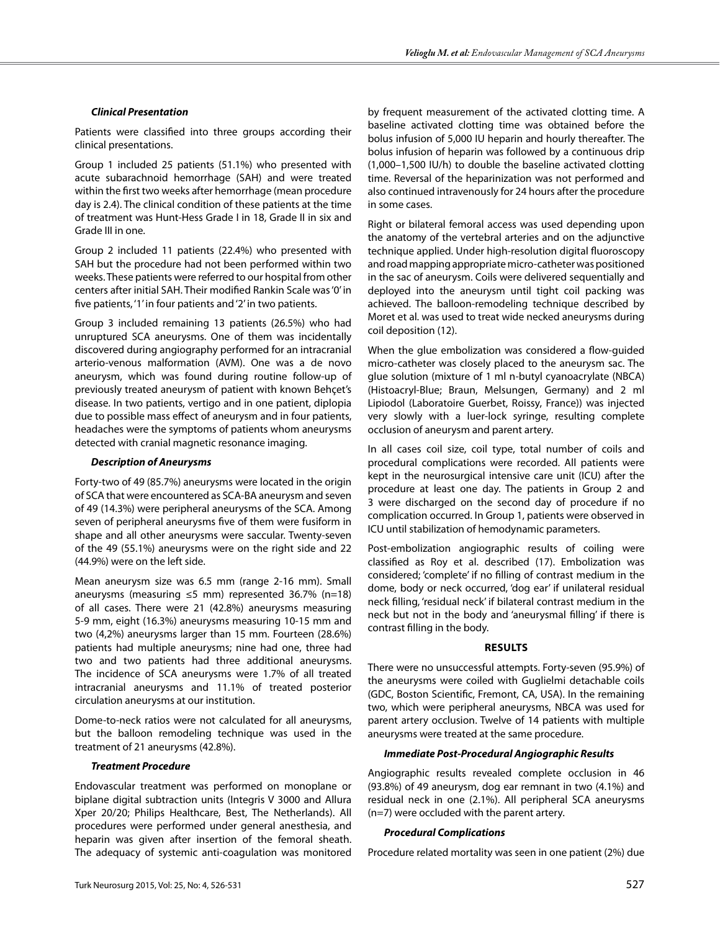## *Clinical Presentation*

Patients were classified into three groups according their clinical presentations.

Group 1 included 25 patients (51.1%) who presented with acute subarachnoid hemorrhage (SAH) and were treated within the first two weeks after hemorrhage (mean procedure day is 2.4). The clinical condition of these patients at the time of treatment was Hunt-Hess Grade I in 18, Grade II in six and Grade III in one.

Group 2 included 11 patients (22.4%) who presented with SAH but the procedure had not been performed within two weeks. These patients were referred to our hospital from other centers after initial SAH. Their modified Rankin Scale was '0' in five patients, '1' in four patients and '2' in two patients.

Group 3 included remaining 13 patients (26.5%) who had unruptured SCA aneurysms. One of them was incidentally discovered during angiography performed for an intracranial arterio-venous malformation (AVM). One was a de novo aneurysm, which was found during routine follow-up of previously treated aneurysm of patient with known Behçet's disease. In two patients, vertigo and in one patient, diplopia due to possible mass effect of aneurysm and in four patients, headaches were the symptoms of patients whom aneurysms detected with cranial magnetic resonance imaging.

## *Description of Aneurysms*

Forty-two of 49 (85.7%) aneurysms were located in the origin of SCA that were encountered as SCA-BA aneurysm and seven of 49 (14.3%) were peripheral aneurysms of the SCA. Among seven of peripheral aneurysms five of them were fusiform in shape and all other aneurysms were saccular. Twenty-seven of the 49 (55.1%) aneurysms were on the right side and 22 (44.9%) were on the left side.

Mean aneurysm size was 6.5 mm (range 2-16 mm). Small aneurysms (measuring  $\leq$ 5 mm) represented 36.7% (n=18) of all cases. There were 21 (42.8%) aneurysms measuring 5-9 mm, eight (16.3%) aneurysms measuring 10-15 mm and two (4,2%) aneurysms larger than 15 mm. Fourteen (28.6%) patients had multiple aneurysms; nine had one, three had two and two patients had three additional aneurysms. The incidence of SCA aneurysms were 1.7% of all treated intracranial aneurysms and 11.1% of treated posterior circulation aneurysms at our institution.

Dome-to-neck ratios were not calculated for all aneurysms, but the balloon remodeling technique was used in the treatment of 21 aneurysms (42.8%).

### *Treatment Procedure*

Endovascular treatment was performed on monoplane or biplane digital subtraction units (Integris V 3000 and Allura Xper 20/20; Philips Healthcare, Best, The Netherlands). All procedures were performed under general anesthesia, and heparin was given after insertion of the femoral sheath. The adequacy of systemic anti-coagulation was monitored by frequent measurement of the activated clotting time. A baseline activated clotting time was obtained before the bolus infusion of 5,000 IU heparin and hourly thereafter. The bolus infusion of heparin was followed by a continuous drip (1,000–1,500 IU/h) to double the baseline activated clotting time. Reversal of the heparinization was not performed and also continued intravenously for 24 hours after the procedure in some cases.

Right or bilateral femoral access was used depending upon the anatomy of the vertebral arteries and on the adjunctive technique applied. Under high-resolution digital fluoroscopy and road mapping appropriate micro-catheter was positioned in the sac of aneurysm. Coils were delivered sequentially and deployed into the aneurysm until tight coil packing was achieved. The balloon-remodeling technique described by Moret et al. was used to treat wide necked aneurysms during coil deposition (12).

When the glue embolization was considered a flow-guided micro-catheter was closely placed to the aneurysm sac. The glue solution (mixture of 1 ml n-butyl cyanoacrylate (NBCA) (Histoacryl-Blue; Braun, Melsungen, Germany) and 2 ml Lipiodol (Laboratoire Guerbet, Roissy, France)) was injected very slowly with a luer-lock syringe, resulting complete occlusion of aneurysm and parent artery.

In all cases coil size, coil type, total number of coils and procedural complications were recorded. All patients were kept in the neurosurgical intensive care unit (ICU) after the procedure at least one day. The patients in Group 2 and 3 were discharged on the second day of procedure if no complication occurred. In Group 1, patients were observed in ICU until stabilization of hemodynamic parameters.

Post-embolization angiographic results of coiling were classified as Roy et al. described (17). Embolization was considered; 'complete' if no filling of contrast medium in the dome, body or neck occurred, 'dog ear' if unilateral residual neck filling, 'residual neck' if bilateral contrast medium in the neck but not in the body and 'aneurysmal filling' if there is contrast filling in the body.

### **Results**

There were no unsuccessful attempts. Forty-seven (95.9%) of the aneurysms were coiled with Guglielmi detachable coils (GDC, Boston Scientific, Fremont, CA, USA). In the remaining two, which were peripheral aneurysms, NBCA was used for parent artery occlusion. Twelve of 14 patients with multiple aneurysms were treated at the same procedure.

## *Immediate Post-Procedural Angiographic Results*

Angiographic results revealed complete occlusion in 46 (93.8%) of 49 aneurysm, dog ear remnant in two (4.1%) and residual neck in one (2.1%). All peripheral SCA aneurysms (n=7) were occluded with the parent artery.

## *Procedural Complications*

Procedure related mortality was seen in one patient (2%) due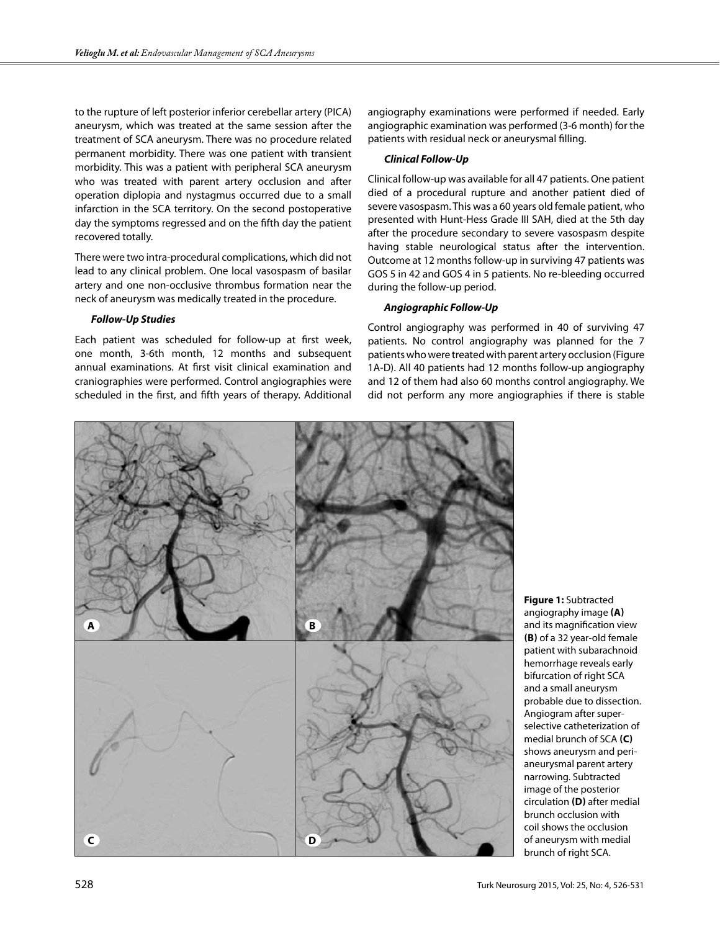to the rupture of left posterior inferior cerebellar artery (PICA) aneurysm, which was treated at the same session after the treatment of SCA aneurysm. There was no procedure related permanent morbidity. There was one patient with transient morbidity. This was a patient with peripheral SCA aneurysm who was treated with parent artery occlusion and after operation diplopia and nystagmus occurred due to a small infarction in the SCA territory. On the second postoperative day the symptoms regressed and on the fifth day the patient recovered totally.

There were two intra-procedural complications, which did not lead to any clinical problem. One local vasospasm of basilar artery and one non-occlusive thrombus formation near the neck of aneurysm was medically treated in the procedure.

### *Follow-Up Studies*

Each patient was scheduled for follow-up at first week, one month, 3-6th month, 12 months and subsequent annual examinations. At first visit clinical examination and craniographies were performed. Control angiographies were scheduled in the first, and fifth years of therapy. Additional angiography examinations were performed if needed. Early angiographic examination was performed (3-6 month) for the patients with residual neck or aneurysmal filling.

### *Clinical Follow-Up*

Clinical follow-up was available for all 47 patients. One patient died of a procedural rupture and another patient died of severe vasospasm. This was a 60 years old female patient, who presented with Hunt-Hess Grade III SAH, died at the 5th day after the procedure secondary to severe vasospasm despite having stable neurological status after the intervention. Outcome at 12 months follow-up in surviving 47 patients was GOS 5 in 42 and GOS 4 in 5 patients. No re-bleeding occurred during the follow-up period.

## *Angiographic Follow-Up*

Control angiography was performed in 40 of surviving 47 patients. No control angiography was planned for the 7 patients who were treated with parent artery occlusion (Figure 1A-D). All 40 patients had 12 months follow-up angiography and 12 of them had also 60 months control angiography. We did not perform any more angiographies if there is stable



**Figure 1:** Subtracted angiography image **(a)** and its magnification view **(b)** of a 32 year-old female patient with subarachnoid hemorrhage reveals early bifurcation of right SCA and a small aneurysm probable due to dissection. Angiogram after superselective catheterization of medial brunch of SCA **(c)** shows aneurysm and perianeurysmal parent artery narrowing. Subtracted image of the posterior circulation **(D)** after medial brunch occlusion with coil shows the occlusion of aneurysm with medial brunch of right SCA.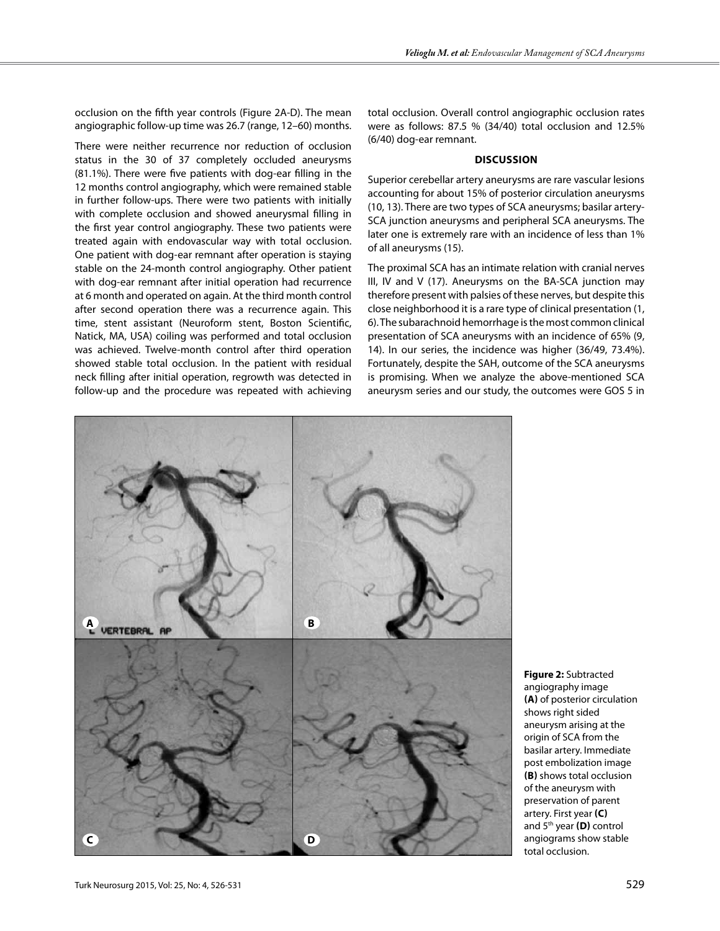occlusion on the fifth year controls (Figure 2A-D). The mean angiographic follow-up time was 26.7 (range, 12–60) months.

There were neither recurrence nor reduction of occlusion status in the 30 of 37 completely occluded aneurysms (81.1%). There were five patients with dog-ear filling in the 12 months control angiography, which were remained stable in further follow-ups. There were two patients with initially with complete occlusion and showed aneurysmal filling in the first year control angiography. These two patients were treated again with endovascular way with total occlusion. One patient with dog-ear remnant after operation is staying stable on the 24-month control angiography. Other patient with dog-ear remnant after initial operation had recurrence at 6 month and operated on again. At the third month control after second operation there was a recurrence again. This time, stent assistant (Neuroform stent, Boston Scientific, Natick, MA, USA) coiling was performed and total occlusion was achieved. Twelve-month control after third operation showed stable total occlusion. In the patient with residual neck filling after initial operation, regrowth was detected in follow-up and the procedure was repeated with achieving

total occlusion. Overall control angiographic occlusion rates were as follows: 87.5 % (34/40) total occlusion and 12.5% (6/40) dog-ear remnant.

#### **Discussion**

Superior cerebellar artery aneurysms are rare vascular lesions accounting for about 15% of posterior circulation aneurysms (10, 13). There are two types of SCA aneurysms; basilar artery-SCA junction aneurysms and peripheral SCA aneurysms. The later one is extremely rare with an incidence of less than 1% of all aneurysms (15).

The proximal SCA has an intimate relation with cranial nerves III, IV and V (17). Aneurysms on the BA-SCA junction may therefore present with palsies of these nerves, but despite this close neighborhood it is a rare type of clinical presentation (1, 6). The subarachnoid hemorrhage is the most common clinical presentation of SCA aneurysms with an incidence of 65% (9, 14). In our series, the incidence was higher (36/49, 73.4%). Fortunately, despite the SAH, outcome of the SCA aneurysms is promising. When we analyze the above-mentioned SCA aneurysm series and our study, the outcomes were GOS 5 in



**Figure 2:** Subtracted angiography image **(a)** of posterior circulation shows right sided aneurysm arising at the origin of SCA from the basilar artery. Immediate post embolization image **(b)** shows total occlusion of the aneurysm with preservation of parent artery. First year **(c)** and 5<sup>th</sup> year (D) control angiograms show stable total occlusion.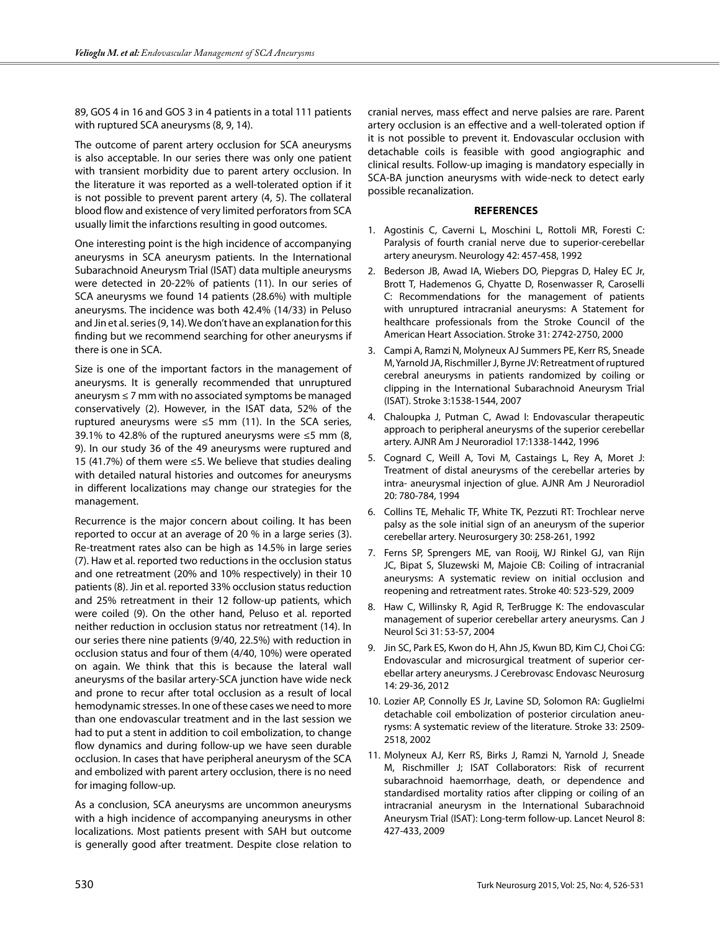89, GOS 4 in 16 and GOS 3 in 4 patients in a total 111 patients with ruptured SCA aneurysms (8, 9, 14).

The outcome of parent artery occlusion for SCA aneurysms is also acceptable. In our series there was only one patient with transient morbidity due to parent artery occlusion. In the literature it was reported as a well-tolerated option if it is not possible to prevent parent artery (4, 5). The collateral blood flow and existence of very limited perforators from SCA usually limit the infarctions resulting in good outcomes.

One interesting point is the high incidence of accompanying aneurysms in SCA aneurysm patients. In the International Subarachnoid Aneurysm Trial (ISAT) data multiple aneurysms were detected in 20-22% of patients (11). In our series of SCA aneurysms we found 14 patients (28.6%) with multiple aneurysms. The incidence was both 42.4% (14/33) in Peluso and Jin et al. series (9, 14). We don't have an explanation for this finding but we recommend searching for other aneurysms if there is one in SCA.

Size is one of the important factors in the management of aneurysms. It is generally recommended that unruptured aneurysm ≤ 7 mm with no associated symptoms be managed conservatively (2). However, in the ISAT data, 52% of the ruptured aneurysms were  $\leq$ 5 mm (11). In the SCA series, 39.1% to 42.8% of the ruptured aneurysms were ≤5 mm (8, 9). In our study 36 of the 49 aneurysms were ruptured and 15 (41.7%) of them were ≤5. We believe that studies dealing with detailed natural histories and outcomes for aneurysms in different localizations may change our strategies for the management.

Recurrence is the major concern about coiling. It has been reported to occur at an average of 20 % in a large series (3). Re-treatment rates also can be high as 14.5% in large series (7). Haw et al. reported two reductions in the occlusion status and one retreatment (20% and 10% respectively) in their 10 patients (8). Jin et al. reported 33% occlusion status reduction and 25% retreatment in their 12 follow-up patients, which were coiled (9). On the other hand, Peluso et al. reported neither reduction in occlusion status nor retreatment (14). In our series there nine patients (9/40, 22.5%) with reduction in occlusion status and four of them (4/40, 10%) were operated on again. We think that this is because the lateral wall aneurysms of the basilar artery-SCA junction have wide neck and prone to recur after total occlusion as a result of local hemodynamic stresses. In one of these cases we need to more than one endovascular treatment and in the last session we had to put a stent in addition to coil embolization, to change flow dynamics and during follow-up we have seen durable occlusion. In cases that have peripheral aneurysm of the SCA and embolized with parent artery occlusion, there is no need for imaging follow-up.

As a conclusion, SCA aneurysms are uncommon aneurysms with a high incidence of accompanying aneurysms in other localizations. Most patients present with SAH but outcome is generally good after treatment. Despite close relation to

cranial nerves, mass effect and nerve palsies are rare. Parent artery occlusion is an effective and a well-tolerated option if it is not possible to prevent it. Endovascular occlusion with detachable coils is feasible with good angiographic and clinical results. Follow-up imaging is mandatory especially in SCA-BA junction aneurysms with wide-neck to detect early possible recanalization.

#### **References**

- 1. Agostinis C, Caverni L, Moschini L, Rottoli MR, Foresti C: Paralysis of fourth cranial nerve due to superior-cerebellar artery aneurysm. Neurology 42: 457-458, 1992
- 2. Bederson JB, Awad IA, Wiebers DO, Piepgras D, Haley EC Jr, Brott T, Hademenos G, Chyatte D, Rosenwasser R, Caroselli C: Recommendations for the management of patients with unruptured intracranial aneurysms: A Statement for healthcare professionals from the Stroke Council of the American Heart Association. Stroke 31: 2742-2750, 2000
- 3. Campi A, Ramzi N, Molyneux AJ Summers PE, Kerr RS, Sneade M, Yarnold JA, Rischmiller J, Byrne JV: Retreatment of ruptured cerebral aneurysms in patients randomized by coiling or clipping in the International Subarachnoid Aneurysm Trial (ISAT). Stroke 3:1538-1544, 2007
- 4. Chaloupka J, Putman C, Awad I: Endovascular therapeutic approach to peripheral aneurysms of the superior cerebellar artery. AJNR Am J Neuroradiol 17:1338-1442, 1996
- 5. Cognard C, Weill A, Tovi M, Castaings L, Rey A, Moret J: Treatment of distal aneurysms of the cerebellar arteries by intra- aneurysmal injection of glue. AJNR Am J Neuroradiol 20: 780-784, 1994
- 6. Collins TE, Mehalic TF, White TK, Pezzuti RT: Trochlear nerve palsy as the sole initial sign of an aneurysm of the superior cerebellar artery. Neurosurgery 30: 258-261, 1992
- 7. Ferns SP, Sprengers ME, van Rooij, WJ Rinkel GJ, van Rijn JC, Bipat S, Sluzewski M, Majoie CB: Coiling of intracranial aneurysms: A systematic review on initial occlusion and reopening and retreatment rates. Stroke 40: 523-529, 2009
- 8. Haw C, Willinsky R, Agid R, TerBrugge K: The endovascular management of superior cerebellar artery aneurysms. Can J Neurol Sci 31: 53-57, 2004
- 9. Jin SC, Park ES, Kwon do H, Ahn JS, Kwun BD, Kim CJ, Choi CG: Endovascular and microsurgical treatment of superior cerebellar artery aneurysms. J Cerebrovasc Endovasc Neurosurg 14: 29-36, 2012
- 10. Lozier AP, Connolly ES Jr, Lavine SD, Solomon RA: Guglielmi detachable coil embolization of posterior circulation aneurysms: A systematic review of the literature. Stroke 33: 2509- 2518, 2002
- 11. Molyneux AJ, Kerr RS, Birks J, Ramzi N, Yarnold J, Sneade M, Rischmiller J; ISAT Collaborators: Risk of recurrent subarachnoid haemorrhage, death, or dependence and standardised mortality ratios after clipping or coiling of an intracranial aneurysm in the International Subarachnoid Aneurysm Trial (ISAT): Long-term follow-up. Lancet Neurol 8: 427-433, 2009